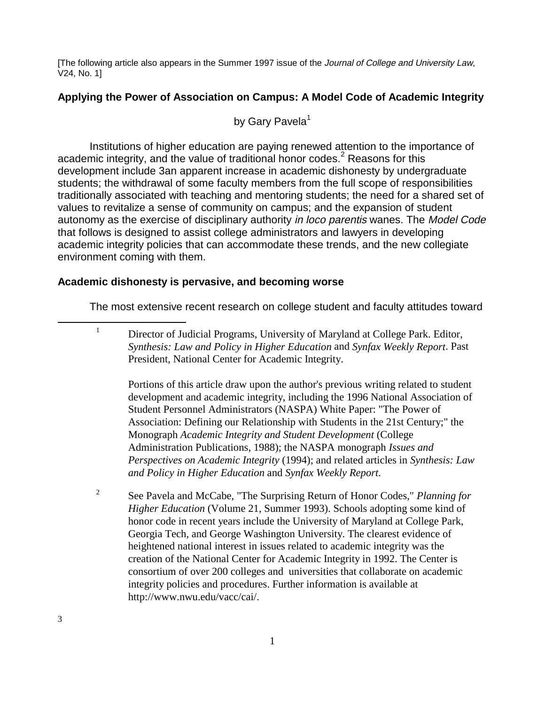[The following article also appears in the Summer 1997 issue of the Journal of College and University Law, V24, No. 1]

## **Applying the Power of Association on Campus: A Model Code of Academic Integrity**

by Gary Pavela<sup>1</sup>

Institutions of higher education are paying renewed attention to the importance of academic integrity, and the value of traditional honor codes.<sup>2</sup> Reasons for this development include 3an apparent increase in academic dishonesty by undergraduate students; the withdrawal of some faculty members from the full scope of responsibilities traditionally associated with teaching and mentoring students; the need for a shared set of values to revitalize a sense of community on campus; and the expansion of student autonomy as the exercise of disciplinary authority in loco parentis wanes. The Model Code that follows is designed to assist college administrators and lawyers in developing academic integrity policies that can accommodate these trends, and the new collegiate environment coming with them.

## **Academic dishonesty is pervasive, and becoming worse**

The most extensive recent research on college student and faculty attitudes toward

<sup>1</sup> Director of Judicial Programs, University of Maryland at College Park. Editor, *Synthesis: Law and Policy in Higher Education* and *Synfax Weekly Report*. Past President, National Center for Academic Integrity.

Portions of this article draw upon the author's previous writing related to student development and academic integrity, including the 1996 National Association of Student Personnel Administrators (NASPA) White Paper: "The Power of Association: Defining our Relationship with Students in the 21st Century;" the Monograph *Academic Integrity and Student Development* (College Administration Publications, 1988); the NASPA monograph *Issues and Perspectives on Academic Integrity* (1994); and related articles in *Synthesis: Law and Policy in Higher Education* and *Synfax Weekly Report.*

<sup>2</sup> See Pavela and McCabe, "The Surprising Return of Honor Codes," *Planning for Higher Education* (Volume 21, Summer 1993). Schools adopting some kind of honor code in recent years include the University of Maryland at College Park, Georgia Tech, and George Washington University. The clearest evidence of heightened national interest in issues related to academic integrity was the creation of the National Center for Academic Integrity in 1992. The Center is consortium of over 200 colleges and universities that collaborate on academic integrity policies and procedures. Further information is available at http://www.nwu.edu/vacc/cai/.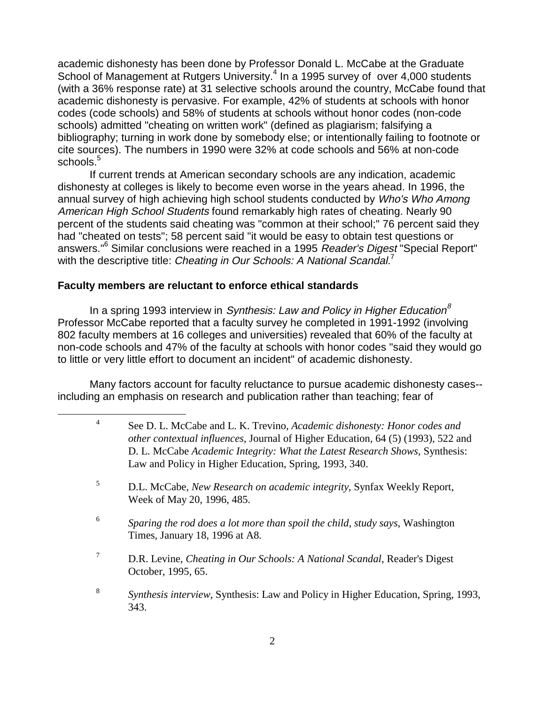academic dishonesty has been done by Professor Donald L. McCabe at the Graduate School of Management at Rutgers University.<sup>4</sup> In a 1995 survey of over 4,000 students (with a 36% response rate) at 31 selective schools around the country, McCabe found that academic dishonesty is pervasive. For example, 42% of students at schools with honor codes (code schools) and 58% of students at schools without honor codes (non-code schools) admitted "cheating on written work" (defined as plagiarism; falsifying a bibliography; turning in work done by somebody else; or intentionally failing to footnote or cite sources). The numbers in 1990 were 32% at code schools and 56% at non-code schools.<sup>5</sup>

If current trends at American secondary schools are any indication, academic dishonesty at colleges is likely to become even worse in the years ahead. In 1996, the annual survey of high achieving high school students conducted by Who's Who Among American High School Students found remarkably high rates of cheating. Nearly 90 percent of the students said cheating was "common at their school;" 76 percent said they had "cheated on tests"; 58 percent said "it would be easy to obtain test questions or answers."<sup>6</sup> Similar conclusions were reached in a 1995 *Reader's Digest* "Special Report" with the descriptive title: Cheating in Our Schools: A National Scandal.<sup>7</sup>

#### **Faculty members are reluctant to enforce ethical standards**

In a spring 1993 interview in Synthesis: Law and Policy in Higher Education<sup>8</sup> Professor McCabe reported that a faculty survey he completed in 1991-1992 (involving 802 faculty members at 16 colleges and universities) revealed that 60% of the faculty at non-code schools and 47% of the faculty at schools with honor codes "said they would go to little or very little effort to document an incident" of academic dishonesty.

Many factors account for faculty reluctance to pursue academic dishonesty cases- including an emphasis on research and publication rather than teaching; fear of

- <sup>5</sup> D.L. McCabe, *New Research on academic integrity*, Synfax Weekly Report, Week of May 20, 1996, 485.
- <sup>6</sup> *Sparing the rod does a lot more than spoil the child, study says*, Washington Times, January 18, 1996 at A8*.*
- <sup>7</sup> D.R. Levine, *Cheating in Our Schools: A National Scandal*, Reader's Digest October, 1995, 65.
- <sup>8</sup> *Synthesis interview*, Synthesis: Law and Policy in Higher Education, Spring, 1993, 343.

 <sup>4</sup> See D. L. McCabe and L. K. Trevino, *Academic dishonesty: Honor codes and other contextual influences,* Journal of Higher Education, 64 (5) (1993), 522 and D. L. McCabe *Academic Integrity: What the Latest Research Shows,* Synthesis: Law and Policy in Higher Education, Spring, 1993, 340.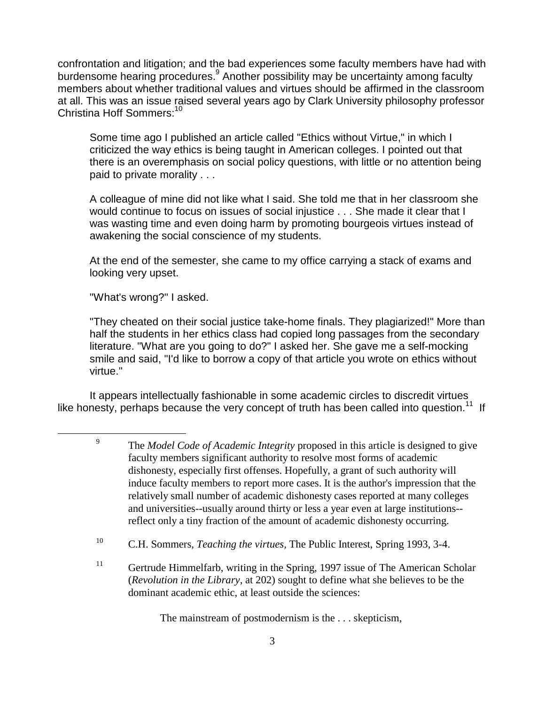confrontation and litigation; and the bad experiences some faculty members have had with burdensome hearing procedures.<sup>9</sup> Another possibility may be uncertainty among faculty members about whether traditional values and virtues should be affirmed in the classroom at all. This was an issue raised several years ago by Clark University philosophy professor Christina Hoff Sommers:<sup>10</sup>

Some time ago I published an article called "Ethics without Virtue," in which I criticized the way ethics is being taught in American colleges. I pointed out that there is an overemphasis on social policy questions, with little or no attention being paid to private morality . . .

A colleague of mine did not like what I said. She told me that in her classroom she would continue to focus on issues of social injustice . . . She made it clear that I was wasting time and even doing harm by promoting bourgeois virtues instead of awakening the social conscience of my students.

At the end of the semester, she came to my office carrying a stack of exams and looking very upset.

"What's wrong?" I asked.

"They cheated on their social justice take-home finals. They plagiarized!" More than half the students in her ethics class had copied long passages from the secondary literature. "What are you going to do?" I asked her. She gave me a self-mocking smile and said, "I'd like to borrow a copy of that article you wrote on ethics without virtue."

It appears intellectually fashionable in some academic circles to discredit virtues like honesty, perhaps because the very concept of truth has been called into question.<sup>11</sup> If

<sup>10</sup> C.H. Sommers, *Teaching the virtues,* The Public Interest, Spring 1993, 3-4.

<sup>11</sup> Gertrude Himmelfarb, writing in the Spring, 1997 issue of The American Scholar (*Revolution in the Library*, at 202) sought to define what she believes to be the dominant academic ethic, at least outside the sciences:

The mainstream of postmodernism is the . . . skepticism,

 <sup>9</sup> The *Model Code of Academic Integrity* proposed in this article is designed to give faculty members significant authority to resolve most forms of academic dishonesty, especially first offenses. Hopefully, a grant of such authority will induce faculty members to report more cases. It is the author's impression that the relatively small number of academic dishonesty cases reported at many colleges and universities--usually around thirty or less a year even at large institutions- reflect only a tiny fraction of the amount of academic dishonesty occurring.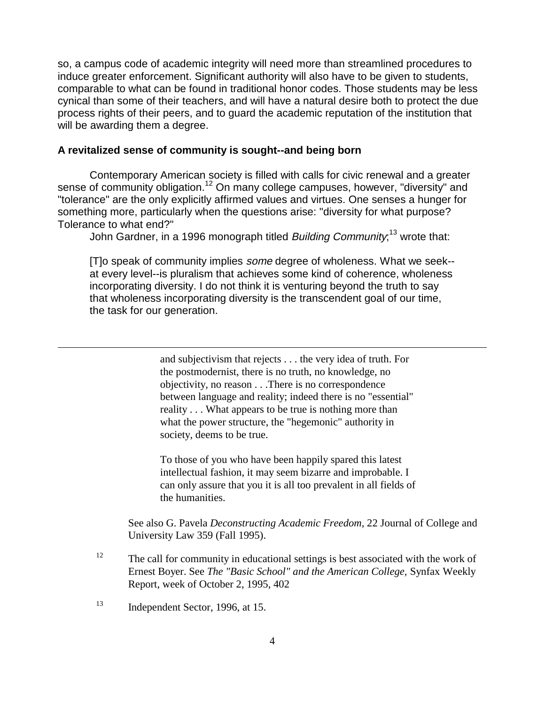so, a campus code of academic integrity will need more than streamlined procedures to induce greater enforcement. Significant authority will also have to be given to students, comparable to what can be found in traditional honor codes. Those students may be less cynical than some of their teachers, and will have a natural desire both to protect the due process rights of their peers, and to guard the academic reputation of the institution that will be awarding them a degree.

#### **A revitalized sense of community is sought--and being born**

Contemporary American society is filled with calls for civic renewal and a greater sense of community obligation.<sup>12</sup> On many college campuses, however, "diversity" and "tolerance" are the only explicitly affirmed values and virtues. One senses a hunger for something more, particularly when the questions arise: "diversity for what purpose? Tolerance to what end?"

John Gardner, in a 1996 monograph titled *Building Community*;<sup>13</sup> wrote that:

[T]o speak of community implies some degree of wholeness. What we seek- at every level--is pluralism that achieves some kind of coherence, wholeness incorporating diversity. I do not think it is venturing beyond the truth to say that wholeness incorporating diversity is the transcendent goal of our time, the task for our generation.

> and subjectivism that rejects . . . the very idea of truth. For the postmodernist, there is no truth, no knowledge, no objectivity, no reason . . .There is no correspondence between language and reality; indeed there is no "essential" reality . . . What appears to be true is nothing more than what the power structure, the "hegemonic" authority in society, deems to be true.

To those of you who have been happily spared this latest intellectual fashion, it may seem bizarre and improbable. I can only assure that you it is all too prevalent in all fields of the humanities.

See also G. Pavela *Deconstructing Academic Freedom,* 22 Journal of College and University Law 359 (Fall 1995).

- <sup>12</sup> The call for community in educational settings is best associated with the work of Ernest Boyer. See *The "Basic School" and the American College,* Synfax Weekly Report, week of October 2, 1995, 402
- <sup>13</sup> Independent Sector, 1996, at 15.

<u>.</u>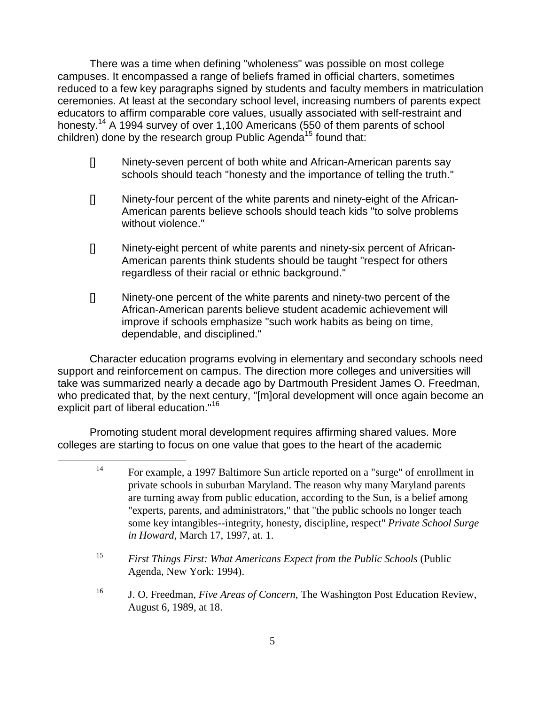There was a time when defining "wholeness" was possible on most college campuses. It encompassed a range of beliefs framed in official charters, sometimes reduced to a few key paragraphs signed by students and faculty members in matriculation ceremonies. At least at the secondary school level, increasing numbers of parents expect educators to affirm comparable core values, usually associated with self-restraint and honesty.<sup>14</sup> A 1994 survey of over 1,100 Americans (550 of them parents of school children) done by the research group Public Agenda<sup>15</sup> found that:

- [] Ninety-seven percent of both white and African-American parents say schools should teach "honesty and the importance of telling the truth."
- [] Ninety-four percent of the white parents and ninety-eight of the African-American parents believe schools should teach kids "to solve problems without violence."
- [] Ninety-eight percent of white parents and ninety-six percent of African-American parents think students should be taught "respect for others regardless of their racial or ethnic background."
- [] Ninety-one percent of the white parents and ninety-two percent of the African-American parents believe student academic achievement will improve if schools emphasize "such work habits as being on time, dependable, and disciplined."

Character education programs evolving in elementary and secondary schools need support and reinforcement on campus. The direction more colleges and universities will take was summarized nearly a decade ago by Dartmouth President James O. Freedman, who predicated that, by the next century, "[m]oral development will once again become an explicit part of liberal education."<sup>16</sup>

Promoting student moral development requires affirming shared values. More colleges are starting to focus on one value that goes to the heart of the academic

- <sup>15</sup> *First Things First: What Americans Expect from the Public Schools* (Public Agenda, New York: 1994).
- <sup>16</sup> J. O. Freedman, *Five Areas of Concern*, The Washington Post Education Review, August 6, 1989, at 18.

 <sup>14</sup> For example, a 1997 Baltimore Sun article reported on a "surge" of enrollment in private schools in suburban Maryland. The reason why many Maryland parents are turning away from public education, according to the Sun, is a belief among "experts, parents, and administrators," that "the public schools no longer teach some key intangibles--integrity, honesty, discipline, respect" *Private School Surge in Howard*, March 17, 1997, at. 1.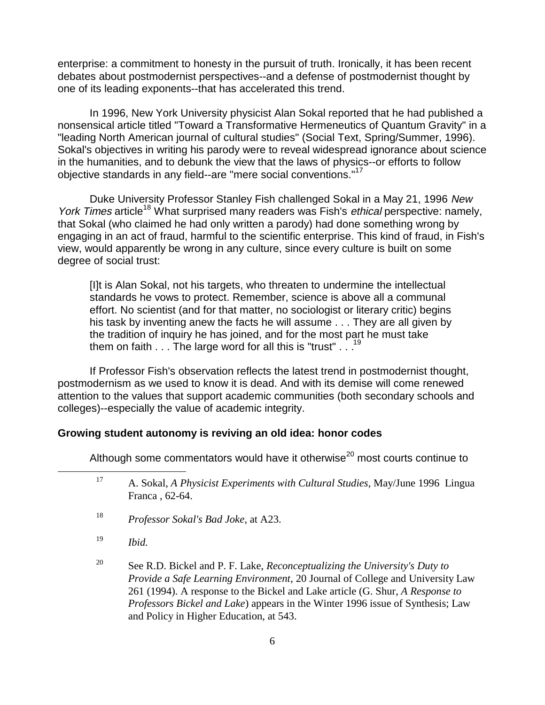enterprise: a commitment to honesty in the pursuit of truth. Ironically, it has been recent debates about postmodernist perspectives--and a defense of postmodernist thought by one of its leading exponents--that has accelerated this trend.

In 1996, New York University physicist Alan Sokal reported that he had published a nonsensical article titled "Toward a Transformative Hermeneutics of Quantum Gravity" in a "leading North American journal of cultural studies" (Social Text, Spring/Summer, 1996). Sokal's objectives in writing his parody were to reveal widespread ignorance about science in the humanities, and to debunk the view that the laws of physics--or efforts to follow objective standards in any field--are "mere social conventions."<sup>17</sup>

Duke University Professor Stanley Fish challenged Sokal in a May 21, 1996 New York Times article<sup>18</sup> What surprised many readers was Fish's *ethical* perspective: namely, that Sokal (who claimed he had only written a parody) had done something wrong by engaging in an act of fraud, harmful to the scientific enterprise. This kind of fraud, in Fish's view, would apparently be wrong in any culture, since every culture is built on some degree of social trust:

[I]t is Alan Sokal, not his targets, who threaten to undermine the intellectual standards he vows to protect. Remember, science is above all a communal effort. No scientist (and for that matter, no sociologist or literary critic) begins his task by inventing anew the facts he will assume . . . They are all given by the tradition of inquiry he has joined, and for the most part he must take them on faith  $\dots$  The large word for all this is "trust"  $\dots$ <sup>19</sup>

If Professor Fish's observation reflects the latest trend in postmodernist thought, postmodernism as we used to know it is dead. And with its demise will come renewed attention to the values that support academic communities (both secondary schools and colleges)--especially the value of academic integrity.

#### **Growing student autonomy is reviving an old idea: honor codes**

Although some commentators would have it otherwise<sup>20</sup> most courts continue to

| 17 | A. Sokal, A Physicist Experiments with Cultural Studies, May/June 1996 Lingua<br>Franca, 62-64.                                                                                                                                                                                                                                                                                  |
|----|----------------------------------------------------------------------------------------------------------------------------------------------------------------------------------------------------------------------------------------------------------------------------------------------------------------------------------------------------------------------------------|
| 18 | Professor Sokal's Bad Joke, at A23.                                                                                                                                                                                                                                                                                                                                              |
| 19 | Ibid.                                                                                                                                                                                                                                                                                                                                                                            |
| 20 | See R.D. Bickel and P. F. Lake, Reconceptualizing the University's Duty to<br><i>Provide a Safe Learning Environment, 20 Journal of College and University Law</i><br>261 (1994). A response to the Bickel and Lake article (G. Shur, A Response to<br>Professors Bickel and Lake) appears in the Winter 1996 issue of Synthesis; Law<br>and Policy in Higher Education, at 543. |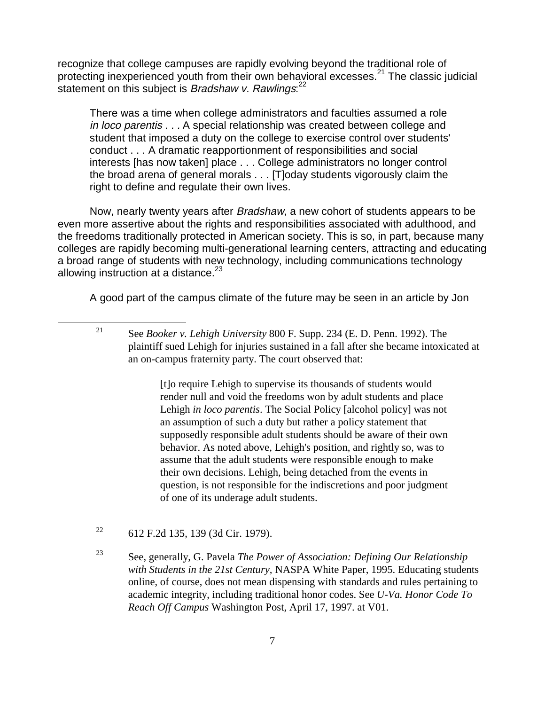recognize that college campuses are rapidly evolving beyond the traditional role of protecting inexperienced youth from their own behavioral excesses.<sup>21</sup> The classic judicial statement on this subject is Bradshaw v. Rawlings:<sup>22</sup>

There was a time when college administrators and faculties assumed a role in loco parentis . . . A special relationship was created between college and student that imposed a duty on the college to exercise control over students' conduct . . . A dramatic reapportionment of responsibilities and social interests [has now taken] place . . . College administrators no longer control the broad arena of general morals . . . [T]oday students vigorously claim the right to define and regulate their own lives.

Now, nearly twenty years after Bradshaw, a new cohort of students appears to be even more assertive about the rights and responsibilities associated with adulthood, and the freedoms traditionally protected in American society. This is so, in part, because many colleges are rapidly becoming multi-generational learning centers, attracting and educating a broad range of students with new technology, including communications technology allowing instruction at a distance. $23$ 

A good part of the campus climate of the future may be seen in an article by Jon

 21 See *Booker v. Lehigh University* 800 F. Supp. 234 (E. D. Penn. 1992). The plaintiff sued Lehigh for injuries sustained in a fall after she became intoxicated at an on-campus fraternity party. The court observed that:

> [t]o require Lehigh to supervise its thousands of students would render null and void the freedoms won by adult students and place Lehigh *in loco parentis*. The Social Policy [alcohol policy] was not an assumption of such a duty but rather a policy statement that supposedly responsible adult students should be aware of their own behavior. As noted above, Lehigh's position, and rightly so, was to assume that the adult students were responsible enough to make their own decisions. Lehigh, being detached from the events in question, is not responsible for the indiscretions and poor judgment of one of its underage adult students.

- <sup>22</sup> 612 F.2d 135, 139 (3d Cir. 1979).
- <sup>23</sup> See, generally, G. Pavela *The Power of Association: Defining Our Relationship with Students in the 21st Century,* NASPA White Paper, 1995. Educating students online, of course, does not mean dispensing with standards and rules pertaining to academic integrity, including traditional honor codes. See *U-Va. Honor Code To Reach Off Campus* Washington Post, April 17, 1997. at V01.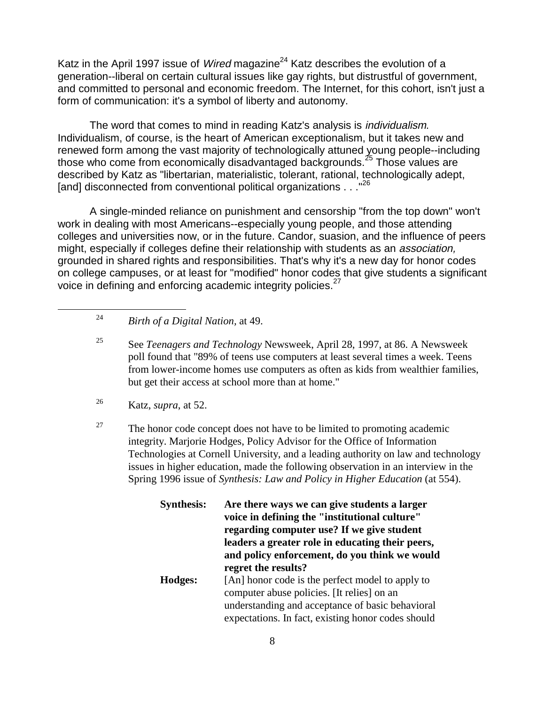Katz in the April 1997 issue of *Wired* magazine<sup>24</sup> Katz describes the evolution of a generation--liberal on certain cultural issues like gay rights, but distrustful of government, and committed to personal and economic freedom. The Internet, for this cohort, isn't just a form of communication: it's a symbol of liberty and autonomy.

The word that comes to mind in reading Katz's analysis is individualism. Individualism, of course, is the heart of American exceptionalism, but it takes new and renewed form among the vast majority of technologically attuned young people--including those who come from economically disadvantaged backgrounds.<sup>25</sup> Those values are described by Katz as "libertarian, materialistic, tolerant, rational, technologically adept, [and] disconnected from conventional political organizations . . . "<sup>26</sup>

A single-minded reliance on punishment and censorship "from the top down" won't work in dealing with most Americans--especially young people, and those attending colleges and universities now, or in the future. Candor, suasion, and the influence of peers might, especially if colleges define their relationship with students as an *association*, grounded in shared rights and responsibilities. That's why it's a new day for honor codes on college campuses, or at least for "modified" honor codes that give students a significant voice in defining and enforcing academic integrity policies.<sup>27</sup>

- <sup>25</sup> See *Teenagers and Technology* Newsweek, April 28, 1997, at 86. A Newsweek poll found that "89% of teens use computers at least several times a week. Teens from lower-income homes use computers as often as kids from wealthier families, but get their access at school more than at home."
- <sup>26</sup> Katz, *supra*, at 52.
- $27$  The honor code concept does not have to be limited to promoting academic integrity. Marjorie Hodges, Policy Advisor for the Office of Information Technologies at Cornell University, and a leading authority on law and technology issues in higher education, made the following observation in an interview in the Spring 1996 issue of *Synthesis: Law and Policy in Higher Education* (at 554).

| <b>Synthesis:</b> | Are there ways we can give students a larger<br>voice in defining the "institutional culture"<br>regarding computer use? If we give student<br>leaders a greater role in educating their peers,<br>and policy enforcement, do you think we would |
|-------------------|--------------------------------------------------------------------------------------------------------------------------------------------------------------------------------------------------------------------------------------------------|
|                   | regret the results?                                                                                                                                                                                                                              |
| Hodges:           | [An] honor code is the perfect model to apply to                                                                                                                                                                                                 |
|                   | computer abuse policies. [It relies] on an                                                                                                                                                                                                       |
|                   | understanding and acceptance of basic behavioral                                                                                                                                                                                                 |
|                   | expectations. In fact, existing honor codes should                                                                                                                                                                                               |

 <sup>24</sup> *Birth of a Digital Nation,* at 49.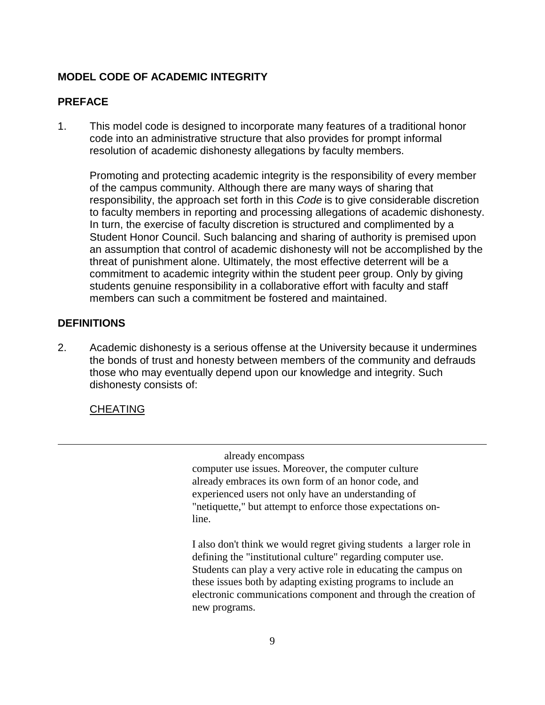# **MODEL CODE OF ACADEMIC INTEGRITY**

## **PREFACE**

1. This model code is designed to incorporate many features of a traditional honor code into an administrative structure that also provides for prompt informal resolution of academic dishonesty allegations by faculty members.

Promoting and protecting academic integrity is the responsibility of every member of the campus community. Although there are many ways of sharing that responsibility, the approach set forth in this Code is to give considerable discretion to faculty members in reporting and processing allegations of academic dishonesty. In turn, the exercise of faculty discretion is structured and complimented by a Student Honor Council. Such balancing and sharing of authority is premised upon an assumption that control of academic dishonesty will not be accomplished by the threat of punishment alone. Ultimately, the most effective deterrent will be a commitment to academic integrity within the student peer group. Only by giving students genuine responsibility in a collaborative effort with faculty and staff members can such a commitment be fostered and maintained.

## **DEFINITIONS**

<u>.</u>

2. Academic dishonesty is a serious offense at the University because it undermines the bonds of trust and honesty between members of the community and defrauds those who may eventually depend upon our knowledge and integrity. Such dishonesty consists of:

### **CHEATING**

already encompass computer use issues. Moreover, the computer culture already embraces its own form of an honor code, and experienced users not only have an understanding of "netiquette," but attempt to enforce those expectations online.

I also don't think we would regret giving students a larger role in defining the "institutional culture" regarding computer use. Students can play a very active role in educating the campus on these issues both by adapting existing programs to include an electronic communications component and through the creation of new programs.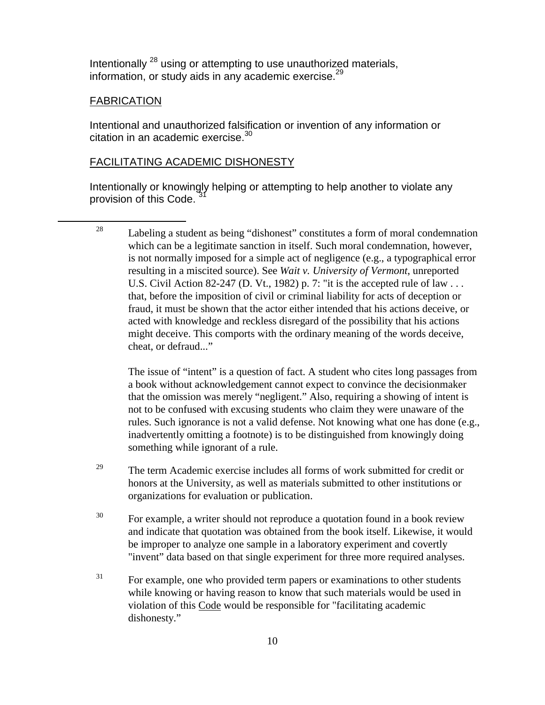Intentionally<sup>28</sup> using or attempting to use unauthorized materials, information, or study aids in any academic exercise.<sup>29</sup>

#### FABRICATION

Intentional and unauthorized falsification or invention of any information or citation in an academic exercise.<sup>30</sup>

#### FACILITATING ACADEMIC DISHONESTY

Intentionally or knowingly helping or attempting to help another to violate any provision of this Code.

 28 Labeling a student as being "dishonest" constitutes a form of moral condemnation which can be a legitimate sanction in itself. Such moral condemnation, however, is not normally imposed for a simple act of negligence (e.g., a typographical error resulting in a miscited source). See *Wait v. University of Vermont*, unreported U.S. Civil Action 82-247 (D. Vt., 1982) p. 7: "it is the accepted rule of law . . . that, before the imposition of civil or criminal liability for acts of deception or fraud, it must be shown that the actor either intended that his actions deceive, or acted with knowledge and reckless disregard of the possibility that his actions might deceive. This comports with the ordinary meaning of the words deceive, cheat, or defraud..."

The issue of "intent" is a question of fact. A student who cites long passages from a book without acknowledgement cannot expect to convince the decisionmaker that the omission was merely "negligent." Also, requiring a showing of intent is not to be confused with excusing students who claim they were unaware of the rules. Such ignorance is not a valid defense. Not knowing what one has done (e.g., inadvertently omitting a footnote) is to be distinguished from knowingly doing something while ignorant of a rule.

- <sup>29</sup> The term Academic exercise includes all forms of work submitted for credit or honors at the University, as well as materials submitted to other institutions or organizations for evaluation or publication.
- <sup>30</sup> For example, a writer should not reproduce a quotation found in a book review and indicate that quotation was obtained from the book itself. Likewise, it would be improper to analyze one sample in a laboratory experiment and covertly "invent" data based on that single experiment for three more required analyses.
- $31$  For example, one who provided term papers or examinations to other students while knowing or having reason to know that such materials would be used in violation of this Code would be responsible for "facilitating academic dishonesty."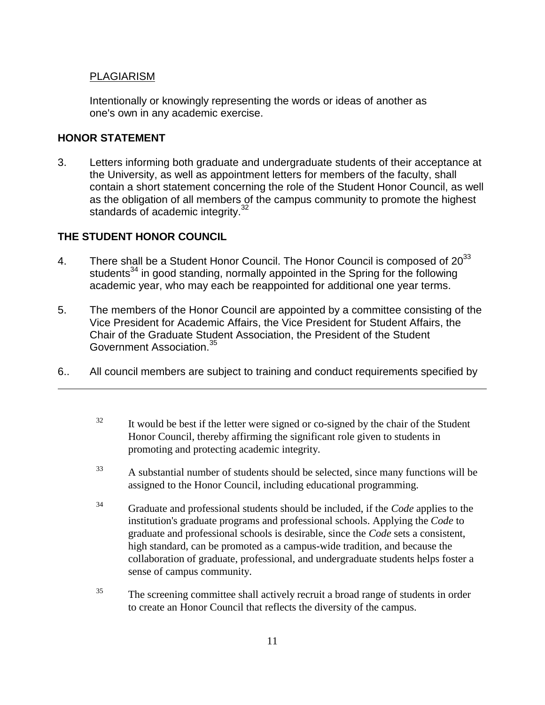## PLAGIARISM

Intentionally or knowingly representing the words or ideas of another as one's own in any academic exercise.

### **HONOR STATEMENT**

<u>.</u>

3. Letters informing both graduate and undergraduate students of their acceptance at the University, as well as appointment letters for members of the faculty, shall contain a short statement concerning the role of the Student Honor Council, as well as the obligation of all members of the campus community to promote the highest standards of academic integrity.<sup>32</sup>

## **THE STUDENT HONOR COUNCIL**

- 4. There shall be a Student Honor Council. The Honor Council is composed of  $20^{33}$ students<sup>34</sup> in good standing, normally appointed in the Spring for the following academic year, who may each be reappointed for additional one year terms.
- 5. The members of the Honor Council are appointed by a committee consisting of the Vice President for Academic Affairs, the Vice President for Student Affairs, the Chair of the Graduate Student Association, the President of the Student Government Association.<sup>35</sup>
- 6.. All council members are subject to training and conduct requirements specified by
	- $32$  It would be best if the letter were signed or co-signed by the chair of the Student Honor Council, thereby affirming the significant role given to students in promoting and protecting academic integrity.
	- <sup>33</sup> A substantial number of students should be selected, since many functions will be assigned to the Honor Council, including educational programming.
	- <sup>34</sup> Graduate and professional students should be included, if the *Code* applies to the institution's graduate programs and professional schools. Applying the *Code* to graduate and professional schools is desirable, since the *Code* sets a consistent, high standard, can be promoted as a campus-wide tradition, and because the collaboration of graduate, professional, and undergraduate students helps foster a sense of campus community.
	- <sup>35</sup> The screening committee shall actively recruit a broad range of students in order to create an Honor Council that reflects the diversity of the campus.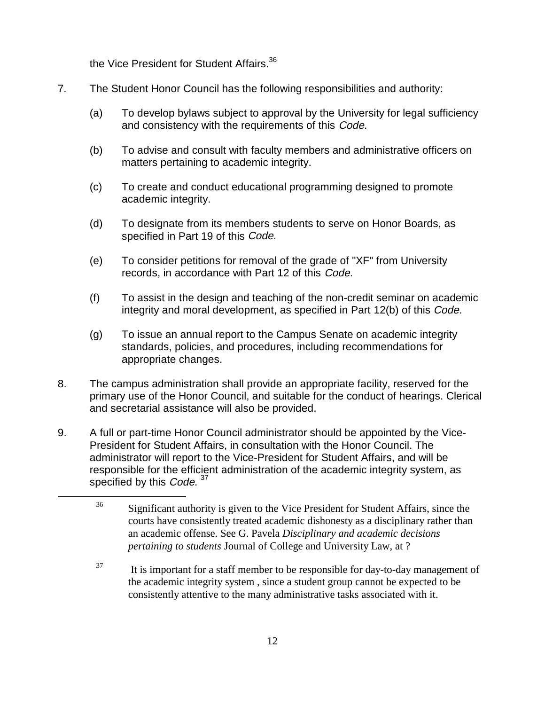the Vice President for Student Affairs.<sup>36</sup>

- 7. The Student Honor Council has the following responsibilities and authority:
	- (a) To develop bylaws subject to approval by the University for legal sufficiency and consistency with the requirements of this Code.
	- (b) To advise and consult with faculty members and administrative officers on matters pertaining to academic integrity.
	- (c) To create and conduct educational programming designed to promote academic integrity.
	- (d) To designate from its members students to serve on Honor Boards, as specified in Part 19 of this Code.
	- (e) To consider petitions for removal of the grade of "XF" from University records, in accordance with Part 12 of this Code.
	- (f) To assist in the design and teaching of the non-credit seminar on academic integrity and moral development, as specified in Part 12(b) of this Code.
	- (g) To issue an annual report to the Campus Senate on academic integrity standards, policies, and procedures, including recommendations for appropriate changes.
- 8. The campus administration shall provide an appropriate facility, reserved for the primary use of the Honor Council, and suitable for the conduct of hearings. Clerical and secretarial assistance will also be provided.
- 9. A full or part-time Honor Council administrator should be appointed by the Vice-President for Student Affairs, in consultation with the Honor Council. The administrator will report to the Vice-President for Student Affairs, and will be responsible for the efficient administration of the academic integrity system, as specified by this Code. 37

<sup>&</sup>lt;sup>36</sup> Significant authority is given to the Vice President for Student Affairs, since the courts have consistently treated academic dishonesty as a disciplinary rather than an academic offense. See G. Pavela *Disciplinary and academic decisions pertaining to students* Journal of College and University Law, at ?

<sup>&</sup>lt;sup>37</sup> It is important for a staff member to be responsible for day-to-day management of the academic integrity system , since a student group cannot be expected to be consistently attentive to the many administrative tasks associated with it.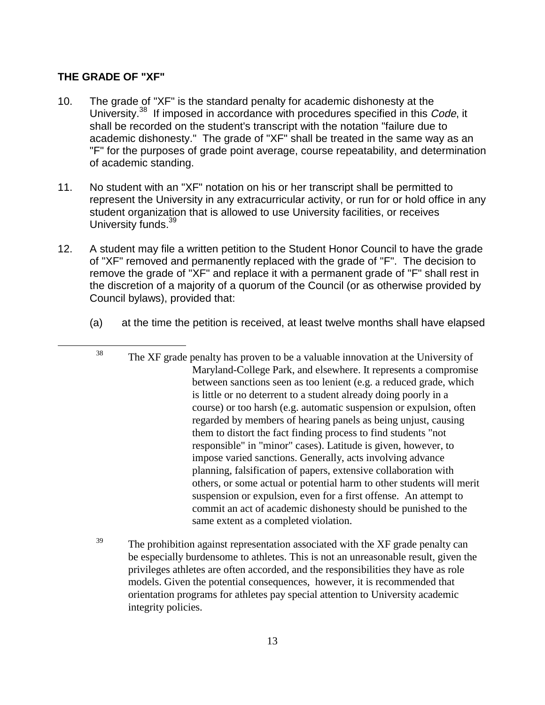## **THE GRADE OF "XF"**

- 10. The grade of "XF" is the standard penalty for academic dishonesty at the University.<sup>38</sup> If imposed in accordance with procedures specified in this *Code*, it shall be recorded on the student's transcript with the notation "failure due to academic dishonesty." The grade of "XF" shall be treated in the same way as an "F" for the purposes of grade point average, course repeatability, and determination of academic standing.
- 11. No student with an "XF" notation on his or her transcript shall be permitted to represent the University in any extracurricular activity, or run for or hold office in any student organization that is allowed to use University facilities, or receives University funds.<sup>39</sup>
- 12. A student may file a written petition to the Student Honor Council to have the grade of "XF" removed and permanently replaced with the grade of "F". The decision to remove the grade of "XF" and replace it with a permanent grade of "F" shall rest in the discretion of a majority of a quorum of the Council (or as otherwise provided by Council bylaws), provided that:
	- (a) at the time the petition is received, at least twelve months shall have elapsed
	- <sup>38</sup> The XF grade penalty has proven to be a valuable innovation at the University of Maryland-College Park, and elsewhere. It represents a compromise between sanctions seen as too lenient (e.g. a reduced grade, which is little or no deterrent to a student already doing poorly in a course) or too harsh (e.g. automatic suspension or expulsion, often regarded by members of hearing panels as being unjust, causing them to distort the fact finding process to find students "not responsible" in "minor" cases). Latitude is given, however, to impose varied sanctions. Generally, acts involving advance planning, falsification of papers, extensive collaboration with others, or some actual or potential harm to other students will merit suspension or expulsion, even for a first offense. An attempt to commit an act of academic dishonesty should be punished to the same extent as a completed violation.
	- $39$  The prohibition against representation associated with the XF grade penalty can be especially burdensome to athletes. This is not an unreasonable result, given the privileges athletes are often accorded, and the responsibilities they have as role models. Given the potential consequences, however, it is recommended that orientation programs for athletes pay special attention to University academic integrity policies.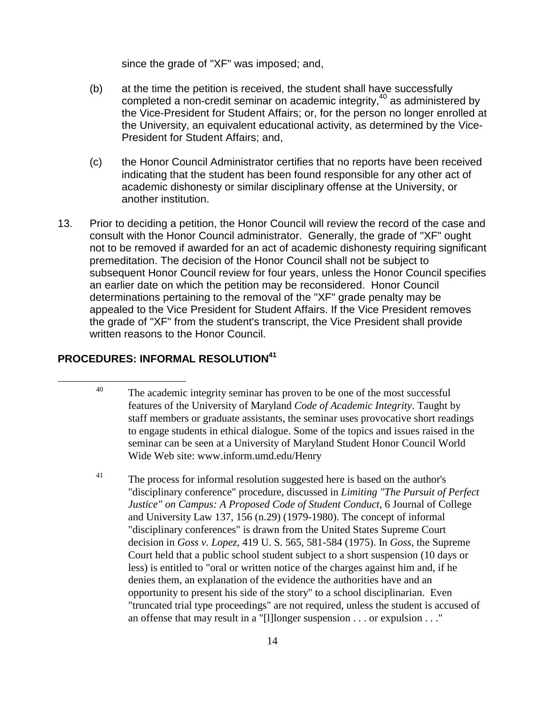since the grade of "XF" was imposed; and,

- (b) at the time the petition is received, the student shall have successfully completed a non-credit seminar on academic integrity,40 as administered by the Vice-President for Student Affairs; or, for the person no longer enrolled at the University, an equivalent educational activity, as determined by the Vice-President for Student Affairs; and,
- (c) the Honor Council Administrator certifies that no reports have been received indicating that the student has been found responsible for any other act of academic dishonesty or similar disciplinary offense at the University, or another institution.
- 13. Prior to deciding a petition, the Honor Council will review the record of the case and consult with the Honor Council administrator. Generally, the grade of "XF" ought not to be removed if awarded for an act of academic dishonesty requiring significant premeditation. The decision of the Honor Council shall not be subject to subsequent Honor Council review for four years, unless the Honor Council specifies an earlier date on which the petition may be reconsidered. Honor Council determinations pertaining to the removal of the "XF" grade penalty may be appealed to the Vice President for Student Affairs. If the Vice President removes the grade of "XF" from the student's transcript, the Vice President shall provide written reasons to the Honor Council.

## **PROCEDURES: INFORMAL RESOLUTION41**

- <sup>40</sup> The academic integrity seminar has proven to be one of the most successful features of the University of Maryland *Code of Academic Integrity*. Taught by staff members or graduate assistants, the seminar uses provocative short readings to engage students in ethical dialogue. Some of the topics and issues raised in the seminar can be seen at a University of Maryland Student Honor Council World Wide Web site: www.inform.umd.edu/Henry
- <sup>41</sup> The process for informal resolution suggested here is based on the author's "disciplinary conference" procedure, discussed in *Limiting "The Pursuit of Perfect Justice" on Campus: A Proposed Code of Student Conduct,* 6 Journal of College and University Law 137, 156 (n.29) (1979-1980). The concept of informal "disciplinary conferences" is drawn from the United States Supreme Court decision in *Goss v. Lopez,* 419 U. S. 565, 581-584 (1975). In *Goss*, the Supreme Court held that a public school student subject to a short suspension (10 days or less) is entitled to "oral or written notice of the charges against him and, if he denies them, an explanation of the evidence the authorities have and an opportunity to present his side of the story" to a school disciplinarian. Even "truncated trial type proceedings" are not required, unless the student is accused of an offense that may result in a "[l]longer suspension . . . or expulsion . . ."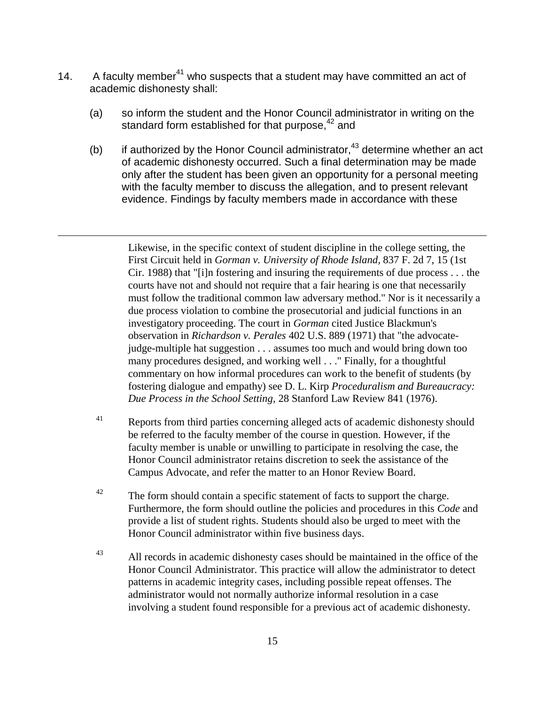14. A faculty member<sup>41</sup> who suspects that a student may have committed an act of academic dishonesty shall:

<u>.</u>

- (a) so inform the student and the Honor Council administrator in writing on the standard form established for that purpose,<sup>42</sup> and
- (b) if authorized by the Honor Council administrator,  $43$  determine whether an act of academic dishonesty occurred. Such a final determination may be made only after the student has been given an opportunity for a personal meeting with the faculty member to discuss the allegation, and to present relevant evidence. Findings by faculty members made in accordance with these

Likewise, in the specific context of student discipline in the college setting, the First Circuit held in *Gorman v. University of Rhode Island,* 837 F. 2d 7, 15 (1st Cir. 1988) that "[i]n fostering and insuring the requirements of due process . . . the courts have not and should not require that a fair hearing is one that necessarily must follow the traditional common law adversary method." Nor is it necessarily a due process violation to combine the prosecutorial and judicial functions in an investigatory proceeding. The court in *Gorman* cited Justice Blackmun's observation in *Richardson v. Perales* 402 U.S. 889 (1971) that "the advocatejudge-multiple hat suggestion . . . assumes too much and would bring down too many procedures designed, and working well . . ." Finally, for a thoughtful commentary on how informal procedures can work to the benefit of students (by fostering dialogue and empathy) see D. L. Kirp *Proceduralism and Bureaucracy: Due Process in the School Setting*, 28 Stanford Law Review 841 (1976).

- <sup>41</sup> Reports from third parties concerning alleged acts of academic dishonesty should be referred to the faculty member of the course in question. However, if the faculty member is unable or unwilling to participate in resolving the case, the Honor Council administrator retains discretion to seek the assistance of the Campus Advocate, and refer the matter to an Honor Review Board.
- $42$  The form should contain a specific statement of facts to support the charge. Furthermore, the form should outline the policies and procedures in this *Code* and provide a list of student rights. Students should also be urged to meet with the Honor Council administrator within five business days.
- <sup>43</sup> All records in academic dishonesty cases should be maintained in the office of the Honor Council Administrator. This practice will allow the administrator to detect patterns in academic integrity cases, including possible repeat offenses. The administrator would not normally authorize informal resolution in a case involving a student found responsible for a previous act of academic dishonesty.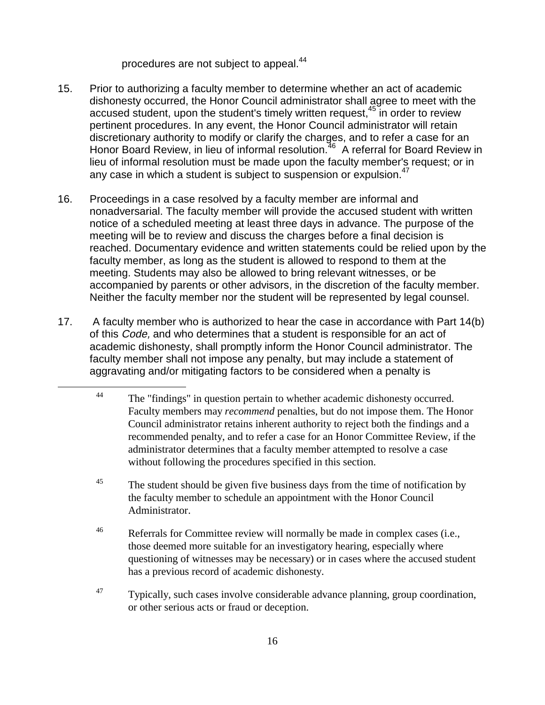procedures are not subject to appeal.<sup>44</sup>

- 15. Prior to authorizing a faculty member to determine whether an act of academic dishonesty occurred, the Honor Council administrator shall agree to meet with the accused student, upon the student's timely written request,  $45$  in order to review pertinent procedures. In any event, the Honor Council administrator will retain discretionary authority to modify or clarify the charges, and to refer a case for an Honor Board Review, in lieu of informal resolution.46 A referral for Board Review in lieu of informal resolution must be made upon the faculty member's request; or in any case in which a student is subject to suspension or expulsion.<sup>47</sup>
- 16. Proceedings in a case resolved by a faculty member are informal and nonadversarial. The faculty member will provide the accused student with written notice of a scheduled meeting at least three days in advance. The purpose of the meeting will be to review and discuss the charges before a final decision is reached. Documentary evidence and written statements could be relied upon by the faculty member, as long as the student is allowed to respond to them at the meeting. Students may also be allowed to bring relevant witnesses, or be accompanied by parents or other advisors, in the discretion of the faculty member. Neither the faculty member nor the student will be represented by legal counsel.
- 17. A faculty member who is authorized to hear the case in accordance with Part 14(b) of this Code, and who determines that a student is responsible for an act of academic dishonesty, shall promptly inform the Honor Council administrator. The faculty member shall not impose any penalty, but may include a statement of aggravating and/or mitigating factors to be considered when a penalty is

<sup>44</sup> The "findings" in question pertain to whether academic dishonesty occurred. Faculty members may *recommend* penalties, but do not impose them. The Honor Council administrator retains inherent authority to reject both the findings and a recommended penalty, and to refer a case for an Honor Committee Review, if the administrator determines that a faculty member attempted to resolve a case without following the procedures specified in this section.

- $45$  The student should be given five business days from the time of notification by the faculty member to schedule an appointment with the Honor Council Administrator.
- <sup>46</sup> Referrals for Committee review will normally be made in complex cases (i.e., those deemed more suitable for an investigatory hearing, especially where questioning of witnesses may be necessary) or in cases where the accused student has a previous record of academic dishonesty.
- <sup>47</sup> Typically, such cases involve considerable advance planning, group coordination, or other serious acts or fraud or deception.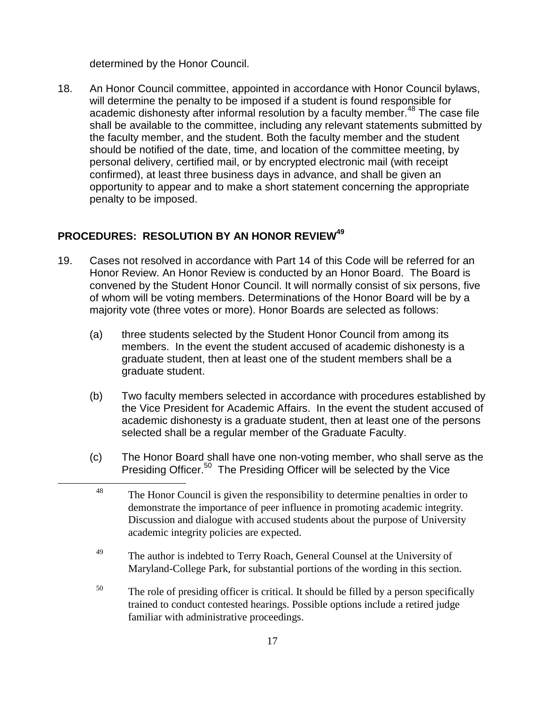determined by the Honor Council.

18. An Honor Council committee, appointed in accordance with Honor Council bylaws, will determine the penalty to be imposed if a student is found responsible for academic dishonesty after informal resolution by a faculty member.<sup>48</sup> The case file shall be available to the committee, including any relevant statements submitted by the faculty member, and the student. Both the faculty member and the student should be notified of the date, time, and location of the committee meeting, by personal delivery, certified mail, or by encrypted electronic mail (with receipt confirmed), at least three business days in advance, and shall be given an opportunity to appear and to make a short statement concerning the appropriate penalty to be imposed.

# **PROCEDURES: RESOLUTION BY AN HONOR REVIEW49**

- 19. Cases not resolved in accordance with Part 14 of this Code will be referred for an Honor Review. An Honor Review is conducted by an Honor Board. The Board is convened by the Student Honor Council. It will normally consist of six persons, five of whom will be voting members. Determinations of the Honor Board will be by a majority vote (three votes or more). Honor Boards are selected as follows:
	- (a) three students selected by the Student Honor Council from among its members. In the event the student accused of academic dishonesty is a graduate student, then at least one of the student members shall be a graduate student.
	- (b) Two faculty members selected in accordance with procedures established by the Vice President for Academic Affairs. In the event the student accused of academic dishonesty is a graduate student, then at least one of the persons selected shall be a regular member of the Graduate Faculty.
	- (c) The Honor Board shall have one non-voting member, who shall serve as the Presiding Officer.<sup>50</sup> The Presiding Officer will be selected by the Vice
	- <sup>48</sup> The Honor Council is given the responsibility to determine penalties in order to demonstrate the importance of peer influence in promoting academic integrity. Discussion and dialogue with accused students about the purpose of University academic integrity policies are expected.
	- <sup>49</sup> The author is indebted to Terry Roach, General Counsel at the University of Maryland-College Park, for substantial portions of the wording in this section.
	- $50$  The role of presiding officer is critical. It should be filled by a person specifically trained to conduct contested hearings. Possible options include a retired judge familiar with administrative proceedings.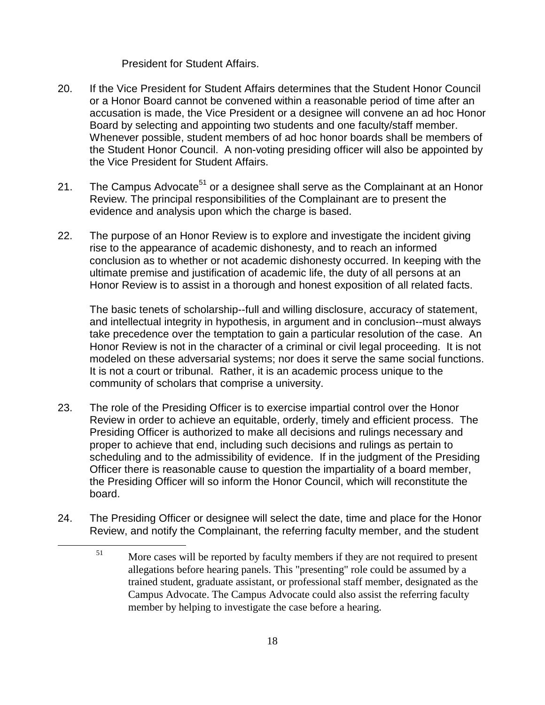### President for Student Affairs.

- 20. If the Vice President for Student Affairs determines that the Student Honor Council or a Honor Board cannot be convened within a reasonable period of time after an accusation is made, the Vice President or a designee will convene an ad hoc Honor Board by selecting and appointing two students and one faculty/staff member. Whenever possible, student members of ad hoc honor boards shall be members of the Student Honor Council. A non-voting presiding officer will also be appointed by the Vice President for Student Affairs.
- 21. The Campus Advocate<sup>51</sup> or a designee shall serve as the Complainant at an Honor Review. The principal responsibilities of the Complainant are to present the evidence and analysis upon which the charge is based.
- 22. The purpose of an Honor Review is to explore and investigate the incident giving rise to the appearance of academic dishonesty, and to reach an informed conclusion as to whether or not academic dishonesty occurred. In keeping with the ultimate premise and justification of academic life, the duty of all persons at an Honor Review is to assist in a thorough and honest exposition of all related facts.

The basic tenets of scholarship--full and willing disclosure, accuracy of statement, and intellectual integrity in hypothesis, in argument and in conclusion--must always take precedence over the temptation to gain a particular resolution of the case. An Honor Review is not in the character of a criminal or civil legal proceeding. It is not modeled on these adversarial systems; nor does it serve the same social functions. It is not a court or tribunal. Rather, it is an academic process unique to the community of scholars that comprise a university.

- 23. The role of the Presiding Officer is to exercise impartial control over the Honor Review in order to achieve an equitable, orderly, timely and efficient process. The Presiding Officer is authorized to make all decisions and rulings necessary and proper to achieve that end, including such decisions and rulings as pertain to scheduling and to the admissibility of evidence. If in the judgment of the Presiding Officer there is reasonable cause to question the impartiality of a board member, the Presiding Officer will so inform the Honor Council, which will reconstitute the board.
- 24. The Presiding Officer or designee will select the date, time and place for the Honor Review, and notify the Complainant, the referring faculty member, and the student

<sup>&</sup>lt;sup>51</sup> More cases will be reported by faculty members if they are not required to present allegations before hearing panels. This "presenting" role could be assumed by a trained student, graduate assistant, or professional staff member, designated as the Campus Advocate. The Campus Advocate could also assist the referring faculty member by helping to investigate the case before a hearing.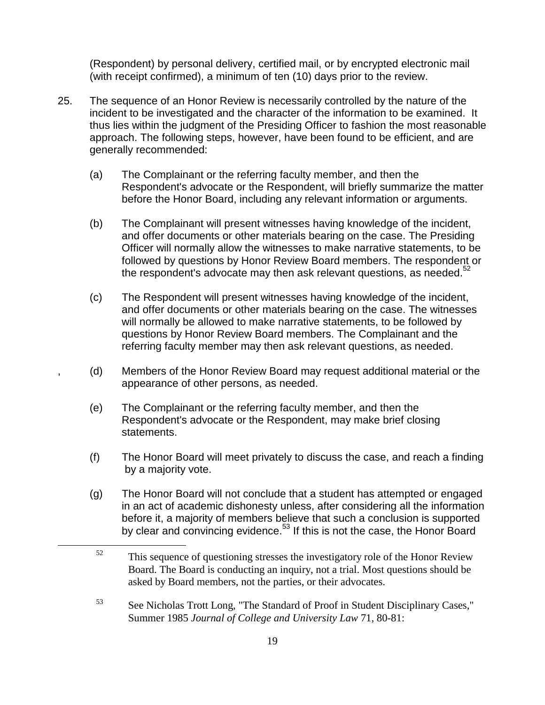(Respondent) by personal delivery, certified mail, or by encrypted electronic mail (with receipt confirmed), a minimum of ten (10) days prior to the review.

- 25. The sequence of an Honor Review is necessarily controlled by the nature of the incident to be investigated and the character of the information to be examined. It thus lies within the judgment of the Presiding Officer to fashion the most reasonable approach. The following steps, however, have been found to be efficient, and are generally recommended:
	- (a) The Complainant or the referring faculty member, and then the Respondent's advocate or the Respondent, will briefly summarize the matter before the Honor Board, including any relevant information or arguments.
	- (b) The Complainant will present witnesses having knowledge of the incident, and offer documents or other materials bearing on the case. The Presiding Officer will normally allow the witnesses to make narrative statements, to be followed by questions by Honor Review Board members. The respondent or the respondent's advocate may then ask relevant questions, as needed.<sup>52</sup>
	- (c) The Respondent will present witnesses having knowledge of the incident, and offer documents or other materials bearing on the case. The witnesses will normally be allowed to make narrative statements, to be followed by questions by Honor Review Board members. The Complainant and the referring faculty member may then ask relevant questions, as needed.
	- , (d) Members of the Honor Review Board may request additional material or the appearance of other persons, as needed.
	- (e) The Complainant or the referring faculty member, and then the Respondent's advocate or the Respondent, may make brief closing statements.
	- (f) The Honor Board will meet privately to discuss the case, and reach a finding by a majority vote.
	- (g) The Honor Board will not conclude that a student has attempted or engaged in an act of academic dishonesty unless, after considering all the information before it, a majority of members believe that such a conclusion is supported by clear and convincing evidence.<sup>53</sup> If this is not the case, the Honor Board

<sup>&</sup>lt;sup>52</sup> This sequence of questioning stresses the investigatory role of the Honor Review Board. The Board is conducting an inquiry, not a trial. Most questions should be asked by Board members, not the parties, or their advocates.

<sup>53</sup> See Nicholas Trott Long, "The Standard of Proof in Student Disciplinary Cases," Summer 1985 *Journal of College and University Law* 71, 80-81: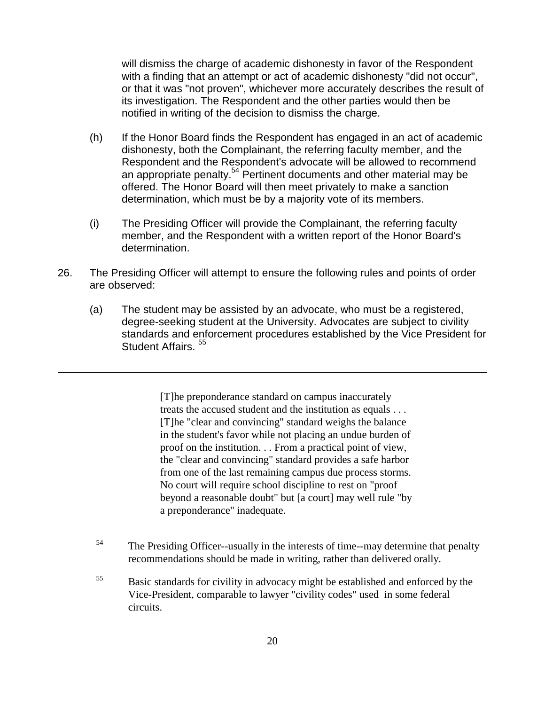will dismiss the charge of academic dishonesty in favor of the Respondent with a finding that an attempt or act of academic dishonesty "did not occur", or that it was "not proven", whichever more accurately describes the result of its investigation. The Respondent and the other parties would then be notified in writing of the decision to dismiss the charge.

- (h) If the Honor Board finds the Respondent has engaged in an act of academic dishonesty, both the Complainant, the referring faculty member, and the Respondent and the Respondent's advocate will be allowed to recommend an appropriate penalty.<sup>54</sup> Pertinent documents and other material may be offered. The Honor Board will then meet privately to make a sanction determination, which must be by a majority vote of its members.
- (i) The Presiding Officer will provide the Complainant, the referring faculty member, and the Respondent with a written report of the Honor Board's determination.
- 26. The Presiding Officer will attempt to ensure the following rules and points of order are observed:

<u>.</u>

(a) The student may be assisted by an advocate, who must be a registered, degree-seeking student at the University. Advocates are subject to civility standards and enforcement procedures established by the Vice President for Student Affairs.<sup>55</sup>

> [T]he preponderance standard on campus inaccurately treats the accused student and the institution as equals . . . [T]he "clear and convincing" standard weighs the balance in the student's favor while not placing an undue burden of proof on the institution. . . From a practical point of view, the "clear and convincing" standard provides a safe harbor from one of the last remaining campus due process storms. No court will require school discipline to rest on "proof beyond a reasonable doubt" but [a court] may well rule "by a preponderance" inadequate.

- <sup>54</sup> The Presiding Officer--usually in the interests of time--may determine that penalty recommendations should be made in writing, rather than delivered orally.
- <sup>55</sup> Basic standards for civility in advocacy might be established and enforced by the Vice-President, comparable to lawyer "civility codes" used in some federal circuits.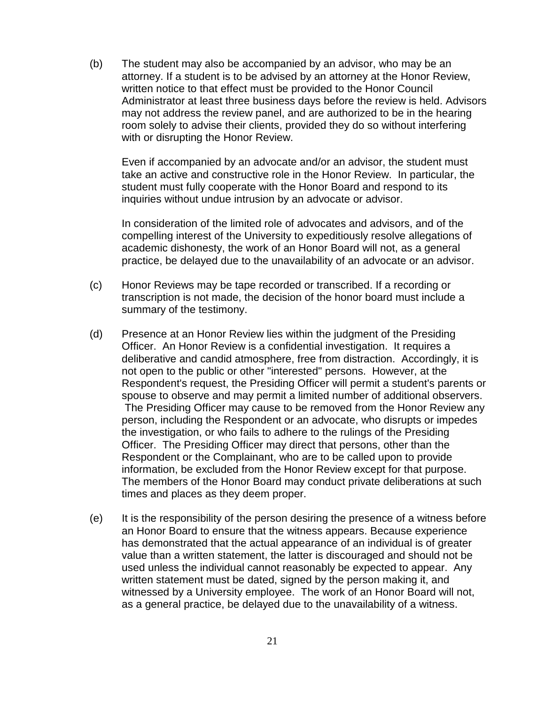(b) The student may also be accompanied by an advisor, who may be an attorney. If a student is to be advised by an attorney at the Honor Review, written notice to that effect must be provided to the Honor Council Administrator at least three business days before the review is held. Advisors may not address the review panel, and are authorized to be in the hearing room solely to advise their clients, provided they do so without interfering with or disrupting the Honor Review.

Even if accompanied by an advocate and/or an advisor, the student must take an active and constructive role in the Honor Review. In particular, the student must fully cooperate with the Honor Board and respond to its inquiries without undue intrusion by an advocate or advisor.

In consideration of the limited role of advocates and advisors, and of the compelling interest of the University to expeditiously resolve allegations of academic dishonesty, the work of an Honor Board will not, as a general practice, be delayed due to the unavailability of an advocate or an advisor.

- (c) Honor Reviews may be tape recorded or transcribed. If a recording or transcription is not made, the decision of the honor board must include a summary of the testimony.
- (d) Presence at an Honor Review lies within the judgment of the Presiding Officer. An Honor Review is a confidential investigation. It requires a deliberative and candid atmosphere, free from distraction. Accordingly, it is not open to the public or other "interested" persons. However, at the Respondent's request, the Presiding Officer will permit a student's parents or spouse to observe and may permit a limited number of additional observers. The Presiding Officer may cause to be removed from the Honor Review any person, including the Respondent or an advocate, who disrupts or impedes the investigation, or who fails to adhere to the rulings of the Presiding Officer. The Presiding Officer may direct that persons, other than the Respondent or the Complainant, who are to be called upon to provide information, be excluded from the Honor Review except for that purpose. The members of the Honor Board may conduct private deliberations at such times and places as they deem proper.
- (e) It is the responsibility of the person desiring the presence of a witness before an Honor Board to ensure that the witness appears. Because experience has demonstrated that the actual appearance of an individual is of greater value than a written statement, the latter is discouraged and should not be used unless the individual cannot reasonably be expected to appear. Any written statement must be dated, signed by the person making it, and witnessed by a University employee. The work of an Honor Board will not, as a general practice, be delayed due to the unavailability of a witness.